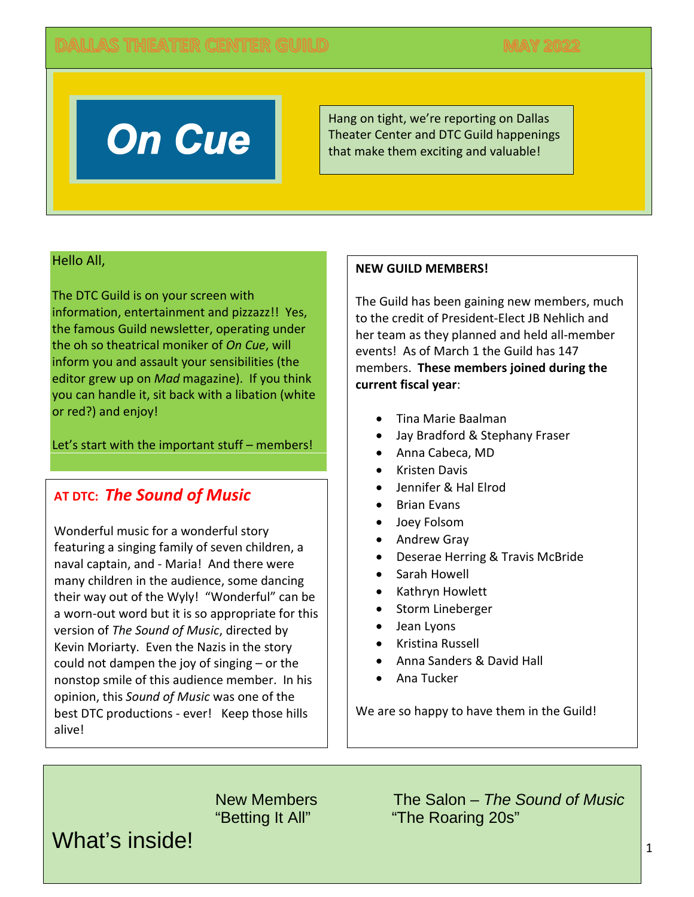

Hang on tight, we're reporting on Dallas Theater Center and DTC Guild happenings that make them exciting and valuable!

### Hello All,

The DTC Guild is on your screen with information, entertainment and pizzazz!! Yes, the famous Guild newsletter, operating under the oh so theatrical moniker of *On Cue*, will inform you and assault your sensibilities (the editor grew up on *Mad* magazine). If you think you can handle it, sit back with a libation (white or red?) and enjoy!

Let's start with the important stuff – members!

# **AT DTC:** *The Sound of Music*

Wonderful music for a wonderful story featuring a singing family of seven children, a naval captain, and - Maria! And there were many children in the audience, some dancing their way out of the Wyly! "Wonderful" can be a worn-out word but it is so appropriate for this version of *The Sound of Music*, directed by Kevin Moriarty. Even the Nazis in the story could not dampen the joy of singing – or the nonstop smile of this audience member. In his opinion, this *Sound of Music* was one of the best DTC productions - ever! Keep those hills alive!

### **NEW GUILD MEMBERS!**

The Guild has been gaining new members, much to the credit of President-Elect JB Nehlich and her team as they planned and held all-member events! As of March 1 the Guild has 147 members. **These members joined during the current fiscal year**:

- Tina Marie Baalman
- Jay Bradford & Stephany Fraser
- Anna Cabeca, MD
- Kristen Davis
- Jennifer & Hal Elrod
- Brian Evans
- Joey Folsom
- Andrew Gray
- Deserae Herring & Travis McBride
- Sarah Howell
- Kathryn Howlett
- Storm Lineberger
- Jean Lyons
- Kristina Russell
- Anna Sanders & David Hall
- Ana Tucker

We are so happy to have them in the Guild!

What's inside!

New Members The Salon – *The Sound of Music* "Betting It All" "The Roaring 20s"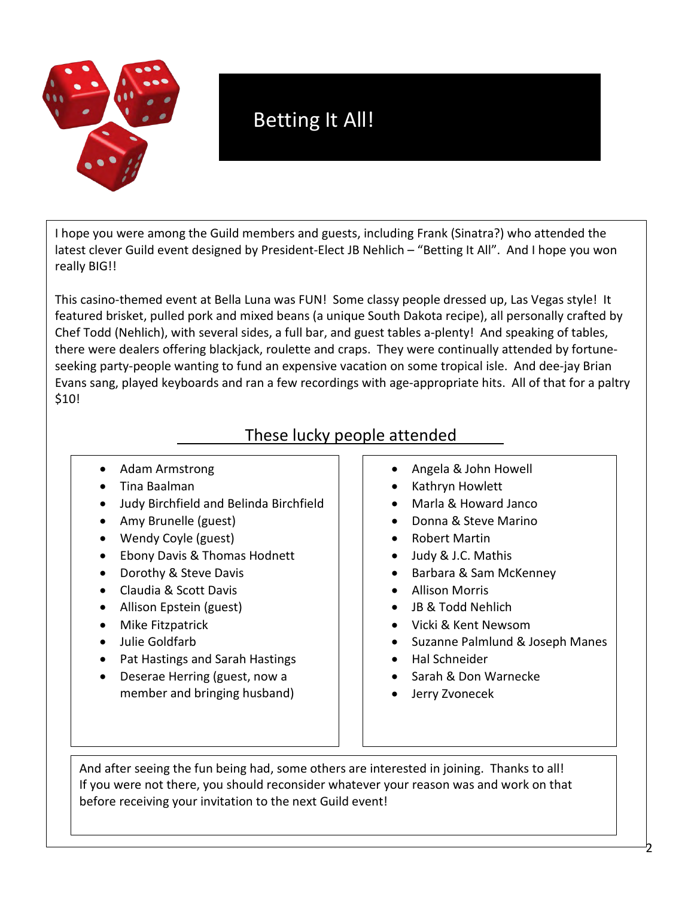

# Betting It All!

I hope you were among the Guild members and guests, including Frank (Sinatra?) who attended the latest clever Guild event designed by President-Elect JB Nehlich – "Betting It All". And I hope you won really BIG!!

This casino-themed event at Bella Luna was FUN! Some classy people dressed up, Las Vegas style! It featured brisket, pulled pork and mixed beans (a unique South Dakota recipe), all personally crafted by Chef Todd (Nehlich), with several sides, a full bar, and guest tables a-plenty! And speaking of tables, there were dealers offering blackjack, roulette and craps. They were continually attended by fortuneseeking party-people wanting to fund an expensive vacation on some tropical isle. And dee-jay Brian Evans sang, played keyboards and ran a few recordings with age-appropriate hits. All of that for a paltry \$10!

# These lucky people attended

- Adam Armstrong
- Tina Baalman
- Judy Birchfield and Belinda Birchfield
- Amy Brunelle (guest)
- Wendy Coyle (guest)
- Ebony Davis & Thomas Hodnett
- Dorothy & Steve Davis
- Claudia & Scott Davis
- Allison Epstein (guest)
- Mike Fitzpatrick
- Julie Goldfarb
- Pat Hastings and Sarah Hastings
- Deserae Herring (guest, now a member and bringing husband)
- Angela & John Howell
- Kathryn Howlett
- Marla & Howard Janco
- Donna & Steve Marino
- Robert Martin
- Judy & J.C. Mathis
- Barbara & Sam McKenney
- Allison Morris
- JB & Todd Nehlich
- Vicki & Kent Newsom
- Suzanne Palmlund & Joseph Manes
- Hal Schneider
- Sarah & Don Warnecke
- Jerry Zvonecek

And after seeing the fun being had, some others are interested in joining. Thanks to all! If you were not there, you should reconsider whatever your reason was and work on that before receiving your invitation to the next Guild event!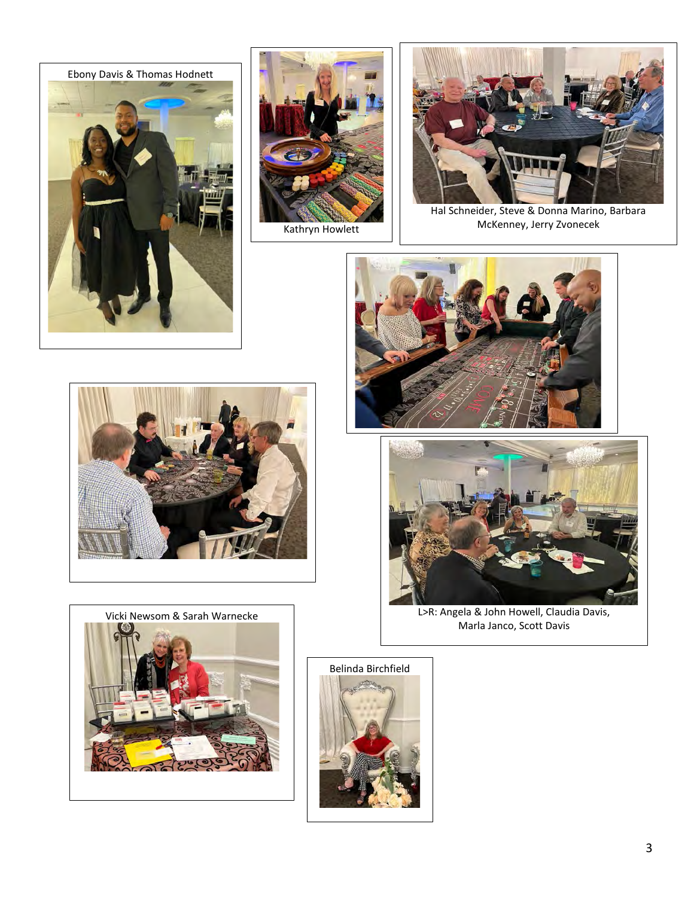





Hal Schneider, Steve & Donna Marino, Barbara McKenney, Jerry Zvonecek











L>R: Angela & John Howell, Claudia Davis, Marla Janco, Scott Davis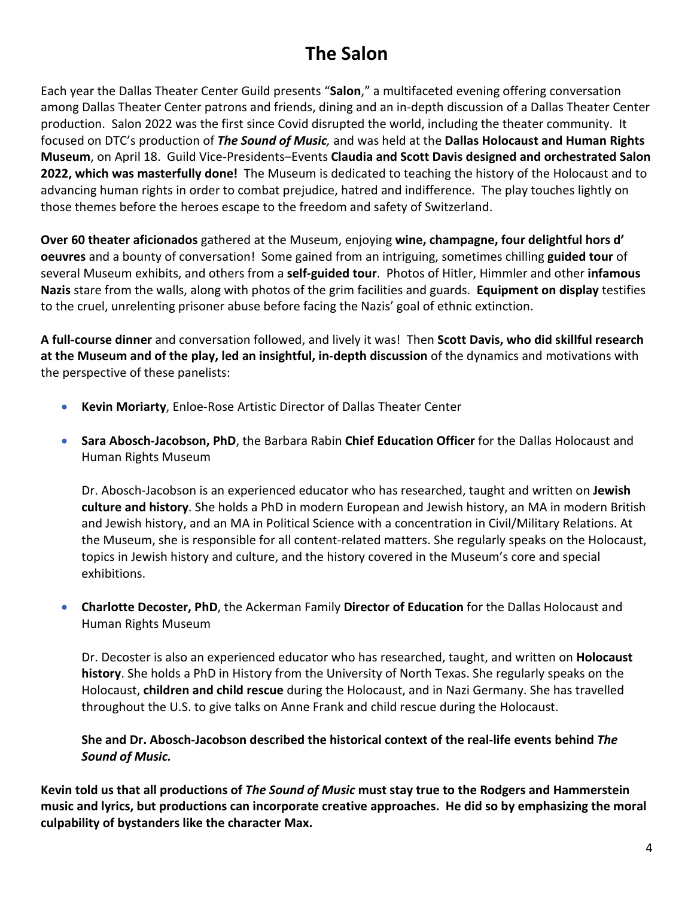# **The Salon**

Each year the Dallas Theater Center Guild presents "**Salon**," a multifaceted evening offering conversation among Dallas Theater Center patrons and friends, dining and an in-depth discussion of a Dallas Theater Center production. Salon 2022 was the first since Covid disrupted the world, including the theater community. It focused on DTC's production of *The Sound of Music,* and was held at the **Dallas Holocaust and Human Rights Museum**, on April 18. Guild Vice-Presidents–Events **Claudia and Scott Davis designed and orchestrated Salon 2022, which was masterfully done!** The Museum is dedicated to teaching the history of the Holocaust and to advancing human rights in order to combat prejudice, hatred and indifference. The play touches lightly on those themes before the heroes escape to the freedom and safety of Switzerland.

**Over 60 theater aficionados** gathered at the Museum, enjoying **wine, champagne, four delightful hors d' oeuvres** and a bounty of conversation! Some gained from an intriguing, sometimes chilling **guided tour** of several Museum exhibits, and others from a **self-guided tour**. Photos of Hitler, Himmler and other **infamous Nazis** stare from the walls, along with photos of the grim facilities and guards. **Equipment on display** testifies to the cruel, unrelenting prisoner abuse before facing the Nazis' goal of ethnic extinction.

**A full-course dinner** and conversation followed, and lively it was! Then **Scott Davis, who did skillful research at the Museum and of the play, led an insightful, in-depth discussion** of the dynamics and motivations with the perspective of these panelists:

- **Kevin Moriarty**, Enloe-Rose Artistic Director of Dallas Theater Center
- **Sara Abosch-Jacobson, PhD**, the Barbara Rabin **Chief Education Officer** for the Dallas Holocaust and Human Rights Museum

Dr. Abosch-Jacobson is an experienced educator who has researched, taught and written on **Jewish culture and history**. She holds a PhD in modern European and Jewish history, an MA in modern British and Jewish history, and an MA in Political Science with a concentration in Civil/Military Relations. At the Museum, she is responsible for all content-related matters. She regularly speaks on the Holocaust, topics in Jewish history and culture, and the history covered in the Museum's core and special exhibitions.

• **Charlotte Decoster, PhD**, the Ackerman Family **Director of Education** for the Dallas Holocaust and Human Rights Museum

Dr. Decoster is also an experienced educator who has researched, taught, and written on **Holocaust history**. She holds a PhD in History from the University of North Texas. She regularly speaks on the Holocaust, **children and child rescue** during the Holocaust, and in Nazi Germany. She has travelled throughout the U.S. to give talks on Anne Frank and child rescue during the Holocaust.

**She and Dr. Abosch-Jacobson described the historical context of the real-life events behind** *The Sound of Music.*

**Kevin told us that all productions of** *The Sound of Music* **must stay true to the Rodgers and Hammerstein music and lyrics, but productions can incorporate creative approaches. He did so by emphasizing the moral culpability of bystanders like the character Max.**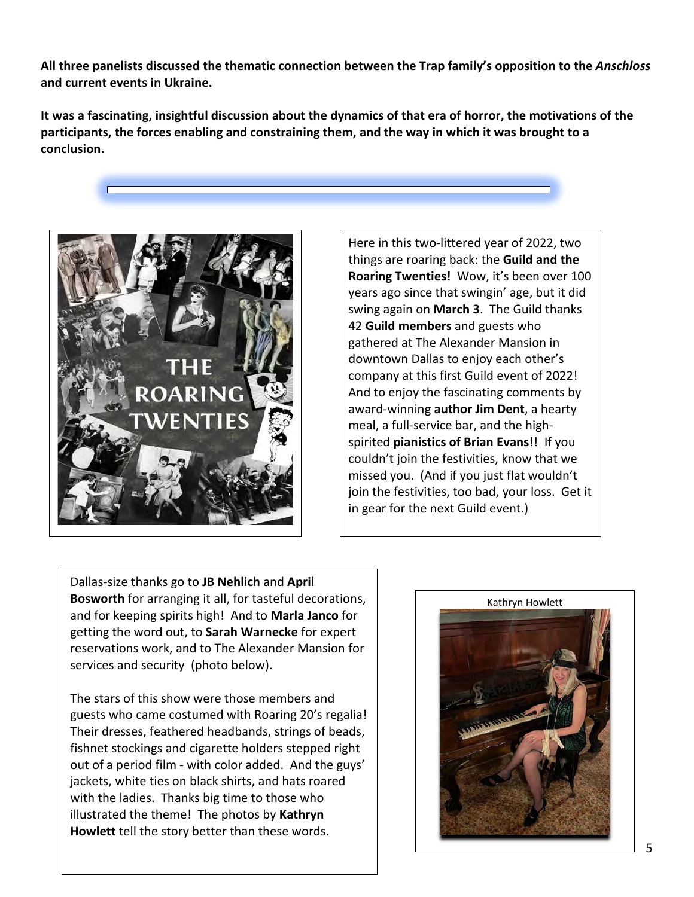**All three panelists discussed the thematic connection between the Trap family's opposition to the** *Anschloss*  **and current events in Ukraine.**

**It was a fascinating, insightful discussion about the dynamics of that era of horror, the motivations of the participants, the forces enabling and constraining them, and the way in which it was brought to a conclusion.**



Here in this two-littered year of 2022, two things are roaring back: the **Guild and the Roaring Twenties!** Wow, it's been over 100 years ago since that swingin' age, but it did swing again on **March 3**. The Guild thanks 42 **Guild members** and guests who gathered at The Alexander Mansion in downtown Dallas to enjoy each other's company at this first Guild event of 2022! And to enjoy the fascinating comments by award-winning **author Jim Dent**, a hearty meal, a full-service bar, and the highspirited **pianistics of Brian Evans**!! If you couldn't join the festivities, know that we missed you. (And if you just flat wouldn't join the festivities, too bad, your loss. Get it in gear for the next Guild event.)

Dallas-size thanks go to **JB Nehlich** and **April Bosworth** for arranging it all, for tasteful decorations, and for keeping spirits high! And to **Marla Janco** for getting the word out, to **Sarah Warnecke** for expert reservations work, and to The Alexander Mansion for services and security (photo below).

The stars of this show were those members and guests who came costumed with Roaring 20's regalia! Their dresses, feathered headbands, strings of beads, fishnet stockings and cigarette holders stepped right out of a period film - with color added. And the guys' jackets, white ties on black shirts, and hats roared with the ladies. Thanks big time to those who illustrated the theme! The photos by **Kathryn Howlett** tell the story better than these words.

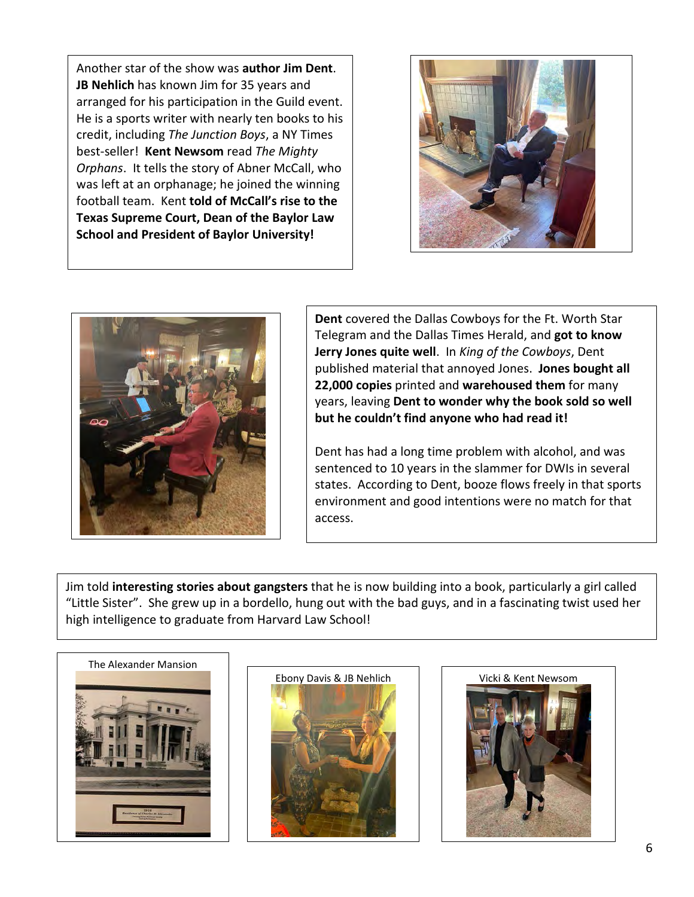Another star of the show was **author Jim Dent**. **JB Nehlich** has known Jim for 35 years and arranged for his participation in the Guild event. He is a sports writer with nearly ten books to his credit, including *The Junction Boys*, a NY Times best-seller! **Kent Newsom** read *The Mighty Orphans*. It tells the story of Abner McCall, who was left at an orphanage; he joined the winning football team. Kent **told of McCall's rise to the Texas Supreme Court, Dean of the Baylor Law School and President of Baylor University!**





**Dent** covered the Dallas Cowboys for the Ft. Worth Star Telegram and the Dallas Times Herald, and **got to know Jerry Jones quite well**. In *King of the Cowboys*, Dent published material that annoyed Jones. **Jones bought all 22,000 copies** printed and **warehoused them** for many years, leaving **Dent to wonder why the book sold so well but he couldn't find anyone who had read it!**

Dent has had a long time problem with alcohol, and was sentenced to 10 years in the slammer for DWIs in several states. According to Dent, booze flows freely in that sports environment and good intentions were no match for that access.

Jim told **interesting stories about gangsters** that he is now building into a book, particularly a girl called "Little Sister". She grew up in a bordello, hung out with the bad guys, and in a fascinating twist used her high intelligence to graduate from Harvard Law School!





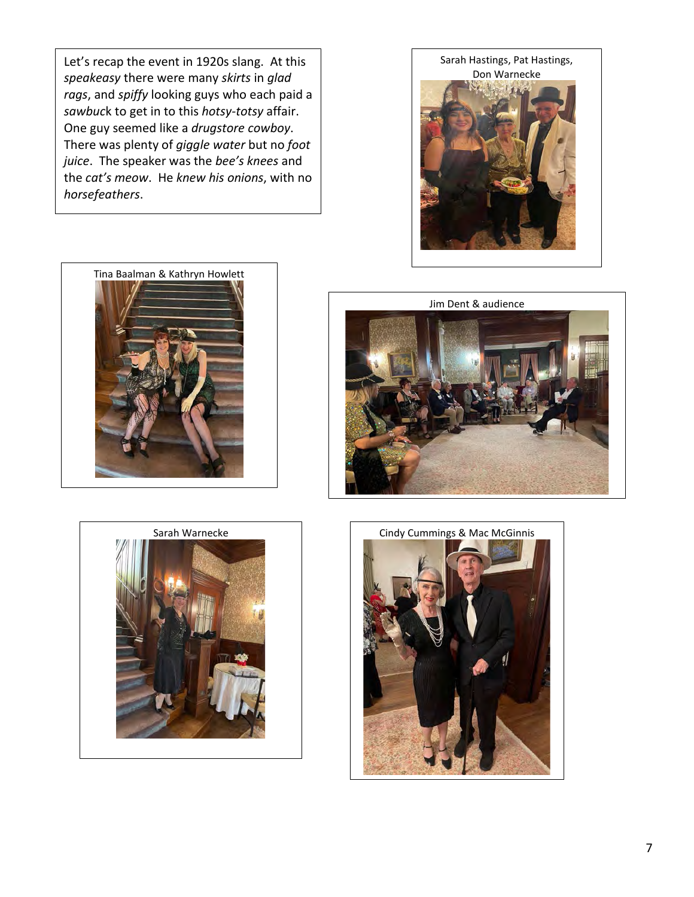Let's recap the event in 1920s slang. At this *speakeasy* there were many *skirts* in *glad rags*, and *spiffy* looking guys who each paid a *sawbuc*k to get in to this *hotsy-totsy* affair. One guy seemed like a *drugstore cowboy*. There was plenty of *giggle water* but no *foot juice*. The speaker was the *bee's knees* and the *cat's meow*. He *knew his onions*, with no *horsefeathers*.



Tina Baalman & Kathryn Howlett